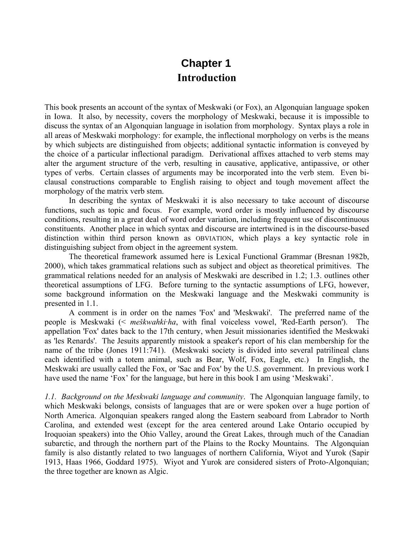## **Chapter 1 Introduction**

This book presents an account of the syntax of Meskwaki (or Fox), an Algonquian language spoken in Iowa. It also, by necessity, covers the morphology of Meskwaki, because it is impossible to discuss the syntax of an Algonquian language in isolation from morphology. Syntax plays a role in all areas of Meskwaki morphology: for example, the inflectional morphology on verbs is the means by which subjects are distinguished from objects; additional syntactic information is conveyed by the choice of a particular inflectional paradigm. Derivational affixes attached to verb stems may alter the argument structure of the verb, resulting in causative, applicative, antipassive, or other types of verbs. Certain classes of arguments may be incorporated into the verb stem. Even biclausal constructions comparable to English raising to object and tough movement affect the morphology of the matrix verb stem.

In describing the syntax of Meskwaki it is also necessary to take account of discourse functions, such as topic and focus. For example, word order is mostly influenced by discourse conditions, resulting in a great deal of word order variation, including frequent use of discontinuous constituents. Another place in which syntax and discourse are intertwined is in the discourse-based distinction within third person known as OBVIATION, which plays a key syntactic role in distinguishing subject from object in the agreement system.

The theoretical framework assumed here is Lexical Functional Grammar (Bresnan 1982b, 2000), which takes grammatical relations such as subject and object as theoretical primitives. The grammatical relations needed for an analysis of Meskwaki are described in 1.2; 1.3. outlines other theoretical assumptions of LFG. Before turning to the syntactic assumptions of LFG, however, some background information on the Meskwaki language and the Meskwaki community is presented in 1.1.

A comment is in order on the names 'Fox' and 'Meskwaki'. The preferred name of the people is Meskwaki (< *meškwahki·ha*, with final voiceless vowel, 'Red-Earth person'). The appellation 'Fox' dates back to the 17th century, when Jesuit missionaries identified the Meskwaki as 'les Renards'. The Jesuits apparently mistook a speaker's report of his clan membership for the name of the tribe (Jones 1911:741). (Meskwaki society is divided into several patrilineal clans each identified with a totem animal, such as Bear, Wolf, Fox, Eagle, etc.) In English, the Meskwaki are usually called the Fox, or 'Sac and Fox' by the U.S. government. In previous work I have used the name 'Fox' for the language, but here in this book I am using 'Meskwaki'.

*1.1. Background on the Meskwaki language and community*. The Algonquian language family, to which Meskwaki belongs, consists of languages that are or were spoken over a huge portion of North America. Algonquian speakers ranged along the Eastern seaboard from Labrador to North Carolina, and extended west (except for the area centered around Lake Ontario occupied by Iroquoian speakers) into the Ohio Valley, around the Great Lakes, through much of the Canadian subarctic, and through the northern part of the Plains to the Rocky Mountains. The Algonquian family is also distantly related to two languages of northern California, Wiyot and Yurok (Sapir 1913, Haas 1966, Goddard 1975). Wiyot and Yurok are considered sisters of Proto-Algonquian; the three together are known as Algic.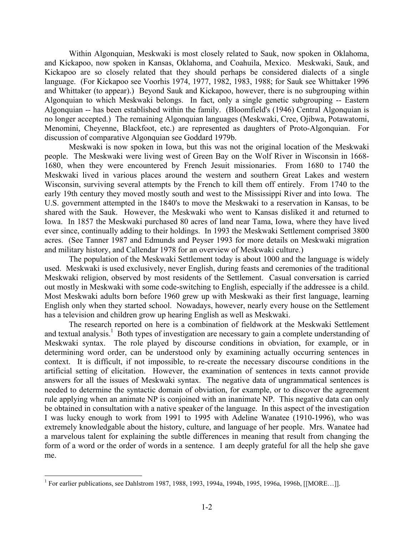Within Algonquian, Meskwaki is most closely related to Sauk, now spoken in Oklahoma, and Kickapoo, now spoken in Kansas, Oklahoma, and Coahuila, Mexico. Meskwaki, Sauk, and Kickapoo are so closely related that they should perhaps be considered dialects of a single language. (For Kickapoo see Voorhis 1974, 1977, 1982, 1983, 1988; for Sauk see Whittaker 1996 and Whittaker (to appear).) Beyond Sauk and Kickapoo, however, there is no subgrouping within Algonquian to which Meskwaki belongs. In fact, only a single genetic subgrouping -- Eastern Algonquian -- has been established within the family. (Bloomfield's (1946) Central Algonquian is no longer accepted.) The remaining Algonquian languages (Meskwaki, Cree, Ojibwa, Potawatomi, Menomini, Cheyenne, Blackfoot, etc.) are represented as daughters of Proto-Algonquian. For discussion of comparative Algonquian see Goddard 1979b.

Meskwaki is now spoken in Iowa, but this was not the original location of the Meskwaki people. The Meskwaki were living west of Green Bay on the Wolf River in Wisconsin in 1668- 1680, when they were encountered by French Jesuit missionaries. From 1680 to 1740 the Meskwaki lived in various places around the western and southern Great Lakes and western Wisconsin, surviving several attempts by the French to kill them off entirely. From 1740 to the early 19th century they moved mostly south and west to the Mississippi River and into Iowa. The U.S. government attempted in the 1840's to move the Meskwaki to a reservation in Kansas, to be shared with the Sauk. However, the Meskwaki who went to Kansas disliked it and returned to Iowa. In 1857 the Meskwaki purchased 80 acres of land near Tama, Iowa, where they have lived ever since, continually adding to their holdings. In 1993 the Meskwaki Settlement comprised 3800 acres. (See Tanner 1987 and Edmunds and Peyser 1993 for more details on Meskwaki migration and military history, and Callendar 1978 for an overview of Meskwaki culture.)

The population of the Meskwaki Settlement today is about 1000 and the language is widely used. Meskwaki is used exclusively, never English, during feasts and ceremonies of the traditional Meskwaki religion, observed by most residents of the Settlement. Casual conversation is carried out mostly in Meskwaki with some code-switching to English, especially if the addressee is a child. Most Meskwaki adults born before 1960 grew up with Meskwaki as their first language, learning English only when they started school. Nowadays, however, nearly every house on the Settlement has a television and children grow up hearing English as well as Meskwaki.

The research reported on here is a combination of fieldwork at the Meskwaki Settlement and textual analysis.<sup>1</sup> Both types of investigation are necessary to gain a complete understanding of Meskwaki syntax. The role played by discourse conditions in obviation, for example, or in determining word order, can be understood only by examining actually occurring sentences in context. It is difficult, if not impossible, to re-create the necessary discourse conditions in the artificial setting of elicitation. However, the examination of sentences in texts cannot provide answers for all the issues of Meskwaki syntax. The negative data of ungrammatical sentences is needed to determine the syntactic domain of obviation, for example, or to discover the agreement rule applying when an animate NP is conjoined with an inanimate NP. This negative data can only be obtained in consultation with a native speaker of the language. In this aspect of the investigation I was lucky enough to work from 1991 to 1995 with Adeline Wanatee (1910-1996), who was extremely knowledgable about the history, culture, and language of her people. Mrs. Wanatee had a marvelous talent for explaining the subtle differences in meaning that result from changing the form of a word or the order of words in a sentence. I am deeply grateful for all the help she gave me.

<u>.</u>

<sup>&</sup>lt;sup>1</sup> For earlier publications, see Dahlstrom 1987, 1988, 1993, 1994a, 1994b, 1995, 1996a, 1996b, [[MORE...]].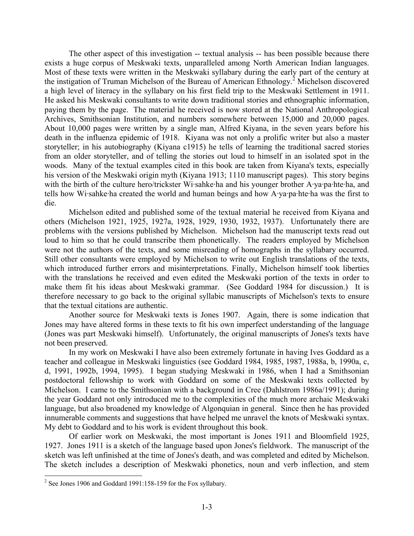The other aspect of this investigation -- textual analysis -- has been possible because there exists a huge corpus of Meskwaki texts, unparalleled among North American Indian languages. Most of these texts were written in the Meskwaki syllabary during the early part of the century at the instigation of Truman Michelson of the Bureau of American Ethnology.<sup>2</sup> Michelson discovered a high level of literacy in the syllabary on his first field trip to the Meskwaki Settlement in 1911. He asked his Meskwaki consultants to write down traditional stories and ethnographic information, paying them by the page. The material he received is now stored at the National Anthropological Archives, Smithsonian Institution, and numbers somewhere between 15,000 and 20,000 pages. About 10,000 pages were written by a single man, Alfred Kiyana, in the seven years before his death in the influenza epidemic of 1918. Kiyana was not only a prolific writer but also a master storyteller; in his autobiography (Kiyana c1915) he tells of learning the traditional sacred stories from an older storyteller, and of telling the stories out loud to himself in an isolated spot in the woods. Many of the textual examples cited in this book are taken from Kiyana's texts, especially his version of the Meskwaki origin myth (Kiyana 1913; 1110 manuscript pages). This story begins with the birth of the culture hero/trickster Wi·sahke·ha and his younger brother A·ya·pa·hte·ha, and tells how Wi·sahke·ha created the world and human beings and how A·ya·pa·hte·ha was the first to die.

Michelson edited and published some of the textual material he received from Kiyana and others (Michelson 1921, 1925, 1927a, 1928, 1929, 1930, 1932, 1937). Unfortunately there are problems with the versions published by Michelson. Michelson had the manuscript texts read out loud to him so that he could transcribe them phonetically. The readers employed by Michelson were not the authors of the texts, and some misreading of homographs in the syllabary occurred. Still other consultants were employed by Michelson to write out English translations of the texts, which introduced further errors and misinterpretations. Finally, Michelson himself took liberties with the translations he received and even edited the Meskwaki portion of the texts in order to make them fit his ideas about Meskwaki grammar. (See Goddard 1984 for discussion.) It is therefore necessary to go back to the original syllabic manuscripts of Michelson's texts to ensure that the textual citations are authentic.

Another source for Meskwaki texts is Jones 1907. Again, there is some indication that Jones may have altered forms in these texts to fit his own imperfect understanding of the language (Jones was part Meskwaki himself). Unfortunately, the original manuscripts of Jones's texts have not been preserved.

In my work on Meskwaki I have also been extremely fortunate in having Ives Goddard as a teacher and colleague in Meskwaki linguistics (see Goddard 1984, 1985, 1987, 1988a, b, 1990a, c, d, 1991, 1992b, 1994, 1995). I began studying Meskwaki in 1986, when I had a Smithsonian postdoctoral fellowship to work with Goddard on some of the Meskwaki texts collected by Michelson. I came to the Smithsonian with a background in Cree (Dahlstrom 1986a/1991); during the year Goddard not only introduced me to the complexities of the much more archaic Meskwaki language, but also broadened my knowledge of Algonquian in general. Since then he has provided innumerable comments and suggestions that have helped me unravel the knots of Meskwaki syntax. My debt to Goddard and to his work is evident throughout this book.

Of earlier work on Meskwaki, the most important is Jones 1911 and Bloomfield 1925, 1927. Jones 1911 is a sketch of the language based upon Jones's fieldwork. The manuscript of the sketch was left unfinished at the time of Jones's death, and was completed and edited by Michelson. The sketch includes a description of Meskwaki phonetics, noun and verb inflection, and stem

 2 See Jones 1906 and Goddard 1991:158-159 for the Fox syllabary.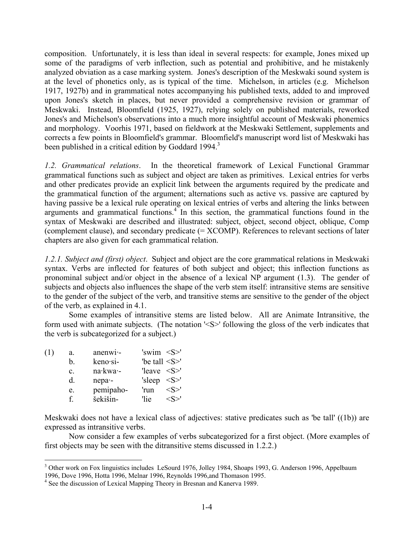composition. Unfortunately, it is less than ideal in several respects: for example, Jones mixed up some of the paradigms of verb inflection, such as potential and prohibitive, and he mistakenly analyzed obviation as a case marking system. Jones's description of the Meskwaki sound system is at the level of phonetics only, as is typical of the time. Michelson, in articles (e.g. Michelson 1917, 1927b) and in grammatical notes accompanying his published texts, added to and improved upon Jones's sketch in places, but never provided a comprehensive revision or grammar of Meskwaki. Instead, Bloomfield (1925, 1927), relying solely on published materials, reworked Jones's and Michelson's observations into a much more insightful account of Meskwaki phonemics and morphology. Voorhis 1971, based on fieldwork at the Meskwaki Settlement, supplements and corrects a few points in Bloomfield's grammar. Bloomfield's manuscript word list of Meskwaki has been published in a critical edition by Goddard 1994.<sup>3</sup>

*1.2. Grammatical relations*. In the theoretical framework of Lexical Functional Grammar grammatical functions such as subject and object are taken as primitives. Lexical entries for verbs and other predicates provide an explicit link between the arguments required by the predicate and the grammatical function of the argument; alternations such as active vs. passive are captured by having passive be a lexical rule operating on lexical entries of verbs and altering the links between arguments and grammatical functions.<sup>4</sup> In this section, the grammatical functions found in the syntax of Meskwaki are described and illustrated: subject, object, second object, oblique, Comp (complement clause), and secondary predicate (= XCOMP). References to relevant sections of later chapters are also given for each grammatical relation.

*1.2.1. Subject and (first) object*. Subject and object are the core grammatical relations in Meskwaki syntax. Verbs are inflected for features of both subject and object; this inflection functions as pronominal subject and/or object in the absence of a lexical NP argument (1.3). The gender of subjects and objects also influences the shape of the verb stem itself: intransitive stems are sensitive to the gender of the subject of the verb, and transitive stems are sensitive to the gender of the object of the verb, as explained in 4.1.

Some examples of intransitive stems are listed below. All are Animate Intransitive, the form used with animate subjects. (The notation '<S>' following the gloss of the verb indicates that the verb is subcategorized for a subject.)

| (1) | a.             | $anenwi-$ | 'swim $$ '                   |
|-----|----------------|-----------|------------------------------|
|     | b.             | keno·si-  | 'be tall <s>'</s>            |
|     | $\mathbf{c}$ . | na·kwa·-  | 'leave $\leq S$              |
|     | d.             | nepa-     | 'sleep $\langle S \rangle$ ' |
|     | e.             | pemipaho- | $< S>$ '<br>'run             |
|     | f.             | šekišin-  | <s>'<br/>'lie-</s>           |

Meskwaki does not have a lexical class of adjectives: stative predicates such as 'be tall' ((1b)) are expressed as intransitive verbs.

Now consider a few examples of verbs subcategorized for a first object. (More examples of first objects may be seen with the ditransitive stems discussed in 1.2.2.)

<sup>1</sup> <sup>3</sup> Other work on Fox linguistics includes LeSourd 1976, Jolley 1984, Shoaps 1993, G. Anderson 1996, Appelbaum 1996, Dove 1996, Hotta 1996, Melnar 1996, Reynolds 1996,and Thomason 1995.

<sup>&</sup>lt;sup>4</sup> See the discussion of Lexical Mapping Theory in Bresnan and Kanerva 1989.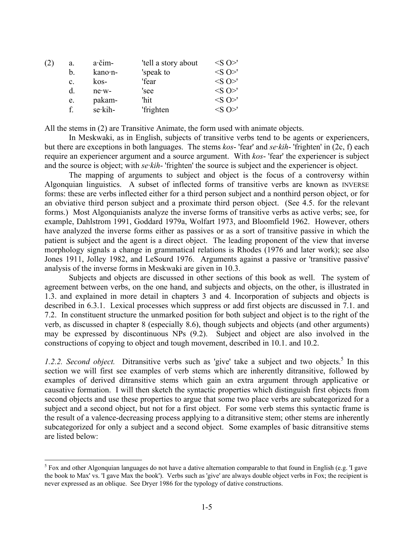| (2) | a.             | a·čim-   | 'tell a story about | $\langle S \rangle$      |
|-----|----------------|----------|---------------------|--------------------------|
|     | h.             | kano·n-  | 'speak to           | $\langle S \rangle$      |
|     | $\mathbf{c}$ . | kos-     | 'fear               | $\langle S \rangle$      |
|     | d.             | $ne-w$ - | 'see                | $\langle S \rangle$      |
|     | e.             | pakam-   | 'hit                | $\langle S \rangle$      |
|     |                | se kih-  | 'frighten           | $\langle S \cap \rangle$ |
|     |                |          |                     |                          |

All the stems in (2) are Transitive Animate, the form used with animate objects.

In Meskwaki, as in English, subjects of transitive verbs tend to be agents or experiencers, but there are exceptions in both languages. The stems *kos*- 'fear' and *se·kih*- 'frighten' in (2c, f) each require an experiencer argument and a source argument. With *kos*- 'fear' the experiencer is subject and the source is object; with *se·kih*- 'frighten' the source is subject and the experiencer is object.

The mapping of arguments to subject and object is the focus of a controversy within Algonquian linguistics. A subset of inflected forms of transitive verbs are known as INVERSE forms: these are verbs inflected either for a third person subject and a nonthird person object, or for an obviative third person subject and a proximate third person object. (See 4.5. for the relevant forms.) Most Algonquianists analyze the inverse forms of transitive verbs as active verbs; see, for example, Dahlstrom 1991, Goddard 1979a, Wolfart 1973, and Bloomfield 1962. However, others have analyzed the inverse forms either as passives or as a sort of transitive passive in which the patient is subject and the agent is a direct object. The leading proponent of the view that inverse morphology signals a change in grammatical relations is Rhodes (1976 and later work); see also Jones 1911, Jolley 1982, and LeSourd 1976. Arguments against a passive or 'transitive passive' analysis of the inverse forms in Meskwaki are given in 10.3.

Subjects and objects are discussed in other sections of this book as well. The system of agreement between verbs, on the one hand, and subjects and objects, on the other, is illustrated in 1.3. and explained in more detail in chapters 3 and 4. Incorporation of subjects and objects is described in 6.3.1. Lexical processes which suppress or add first objects are discussed in 7.1. and 7.2. In constituent structure the unmarked position for both subject and object is to the right of the verb, as discussed in chapter 8 (especially 8.6), though subjects and objects (and other arguments) may be expressed by discontinuous NPs (9.2). Subject and object are also involved in the constructions of copying to object and tough movement, described in 10.1. and 10.2.

1.2.2. Second object. Ditransitive verbs such as 'give' take a subject and two objects.<sup>5</sup> In this section we will first see examples of verb stems which are inherently ditransitive, followed by examples of derived ditransitive stems which gain an extra argument through applicative or causative formation. I will then sketch the syntactic properties which distinguish first objects from second objects and use these properties to argue that some two place verbs are subcategorized for a subject and a second object, but not for a first object. For some verb stems this syntactic frame is the result of a valence-decreasing process applying to a ditransitive stem; other stems are inherently subcategorized for only a subject and a second object. Some examples of basic ditransitive stems are listed below:

1

 $<sup>5</sup>$  Fox and other Algonquian languages do not have a dative alternation comparable to that found in English (e.g. T gave</sup> the book to Max' vs. 'I gave Max the book'). Verbs such as 'give' are always double object verbs in Fox; the recipient is never expressed as an oblique. See Dryer 1986 for the typology of dative constructions.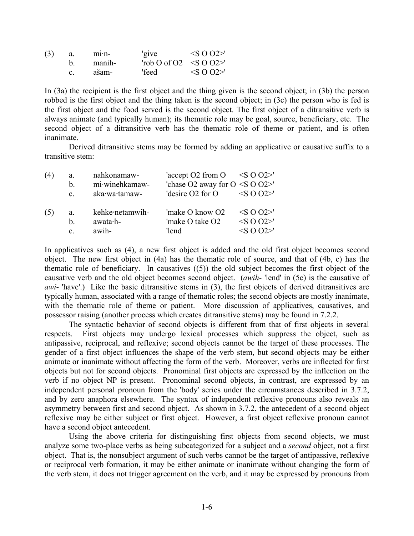| (3) | a. | $m1 \cdot n$ - | 'give                        | $\langle$ S O O2>' |
|-----|----|----------------|------------------------------|--------------------|
|     |    | manih-         | 'rob O of O2 $\leq S$ O O2>' |                    |
|     | C. | ašam-          | 'feed                        | $\langle$ S O O2>' |

In (3a) the recipient is the first object and the thing given is the second object; in (3b) the person robbed is the first object and the thing taken is the second object; in (3c) the person who is fed is the first object and the food served is the second object. The first object of a ditransitive verb is always animate (and typically human); its thematic role may be goal, source, beneficiary, etc. The second object of a ditransitive verb has the thematic role of theme or patient, and is often inanimate.

Derived ditransitive stems may be formed by adding an applicative or causative suffix to a transitive stem:

| (4) | a.             | nahkonamaw-     | 'accept O2 from $O \leq SO O2$ >'      |                   |
|-----|----------------|-----------------|----------------------------------------|-------------------|
|     | b.             | mi·winehkamaw-  | 'chase O2 away for $O \leq S O O 2$ >' |                   |
|     | $\mathbf{c}$ . | aka·wa·tamaw-   | 'desire O2 for O                       | $\langle$ SO 02>' |
| (5) | a.             | kehke netamwih- | 'make O know O2                        | $<$ S O O2>'      |
|     | $\mathbf{b}$ . | $awata·h-$      | 'make O take O <sub>2</sub>            | $<$ SO O2>'       |
|     | $\mathbf{c}$ . | awih-           | 'lend                                  | $\leq S$ O O2>'   |

In applicatives such as (4), a new first object is added and the old first object becomes second object. The new first object in (4a) has the thematic role of source, and that of (4b, c) has the thematic role of beneficiary. In causatives  $(5)$  the old subject becomes the first object of the causative verb and the old object becomes second object. (*awih*- 'lend' in (5c) is the causative of *awi*- 'have'.) Like the basic ditransitive stems in (3), the first objects of derived ditransitives are typically human, associated with a range of thematic roles; the second objects are mostly inanimate, with the thematic role of theme or patient. More discussion of applicatives, causatives, and possessor raising (another process which creates ditransitive stems) may be found in 7.2.2.

The syntactic behavior of second objects is different from that of first objects in several respects. First objects may undergo lexical processes which suppress the object, such as antipassive, reciprocal, and reflexive; second objects cannot be the target of these processes. The gender of a first object influences the shape of the verb stem, but second objects may be either animate or inanimate without affecting the form of the verb. Moreover, verbs are inflected for first objects but not for second objects. Pronominal first objects are expressed by the inflection on the verb if no object NP is present. Pronominal second objects, in contrast, are expressed by an independent personal pronoun from the 'body' series under the circumstances described in 3.7.2, and by zero anaphora elsewhere. The syntax of independent reflexive pronouns also reveals an asymmetry between first and second object. As shown in 3.7.2, the antecedent of a second object reflexive may be either subject or first object. However, a first object reflexive pronoun cannot have a second object antecedent.

Using the above criteria for distinguishing first objects from second objects, we must analyze some two-place verbs as being subcategorized for a subject and a *second* object, not a first object. That is, the nonsubject argument of such verbs cannot be the target of antipassive, reflexive or reciprocal verb formation, it may be either animate or inanimate without changing the form of the verb stem, it does not trigger agreement on the verb, and it may be expressed by pronouns from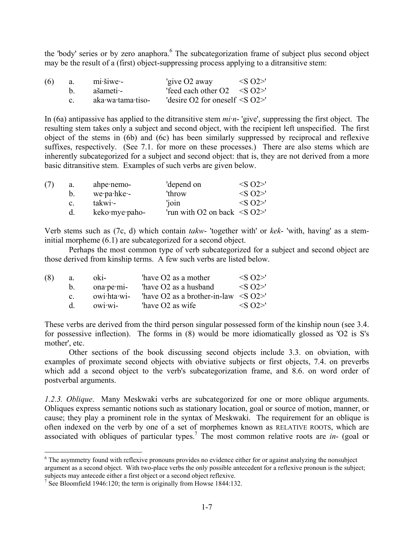the 'body' series or by zero anaphora.<sup>6</sup> The subcategorization frame of subject plus second object may be the result of a (first) object-suppressing process applying to a ditransitive stem:

| (6) | a.    | $mi\cdot \simeq$  | 'give $O2$ away                      | $\langle$ SO2>' |
|-----|-------|-------------------|--------------------------------------|-----------------|
|     | h —   | ašameti -         | 'feed each other O2 $\leq$ S O2>'    |                 |
|     | $c -$ | aka wa tama tiso- | 'desire O2 for oneself $\leq$ S O2>' |                 |

In (6a) antipassive has applied to the ditransitive stem *mi·n*- 'give', suppressing the first object. The resulting stem takes only a subject and second object, with the recipient left unspecified. The first object of the stems in (6b) and (6c) has been similarly suppressed by reciprocal and reflexive suffixes, respectively. (See 7.1. for more on these processes.) There are also stems which are inherently subcategorized for a subject and second object: that is, they are not derived from a more basic ditransitive stem. Examples of such verbs are given below.

| (7) | a.             | ahpenemo-         | 'depend on                         | $\langle$ S $\Omega$ $>$ ' |
|-----|----------------|-------------------|------------------------------------|----------------------------|
|     | $b_{\cdot}$    | $we$ -pa $h$ ke - | 'throw                             | $\langle$ S $\Omega$ $>$ ' |
|     | $\mathbf{c}$ . | $\text{takwi}$    | 'join                              | $\langle$ S $\Omega$ $>$ ' |
|     |                | keko·mye·paho-    | 'run with O2 on back $\leq S$ O2>' |                            |

Verb stems such as (7c, d) which contain *takw*- 'together with' or *kek*- 'with, having' as a steminitial morpheme (6.1) are subcategorized for a second object.

Perhaps the most common type of verb subcategorized for a subject and second object are those derived from kinship terms. A few such verbs are listed below.

| (8) | a.           | $ok1-$                   | have O2 as a mother                        | $\langle$ S $\Omega$ $>$ ' |
|-----|--------------|--------------------------|--------------------------------------------|----------------------------|
|     | $b_{-}$      | $on a \cdot pe \cdot mi$ | have O2 as a husband                       | $\langle$ S $\Omega$ >'    |
|     | $\mathbf{c}$ | owi·hta·wi-              | "have O2 as a brother-in-law $\leq S$ O2>" |                            |
|     | <sub>d</sub> | owivi                    | have O <sub>2</sub> as wife                | $\langle$ S $\Omega$ $>$ ' |

These verbs are derived from the third person singular possessed form of the kinship noun (see 3.4. for possessive inflection). The forms in (8) would be more idiomatically glossed as 'O2 is S's mother', etc.

Other sections of the book discussing second objects include 3.3. on obviation, with examples of proximate second objects with obviative subjects or first objects, 7.4. on preverbs which add a second object to the verb's subcategorization frame, and 8.6. on word order of postverbal arguments.

*1.2.3. Oblique*. Many Meskwaki verbs are subcategorized for one or more oblique arguments. Obliques express semantic notions such as stationary location, goal or source of motion, manner, or cause; they play a prominent role in the syntax of Meskwaki. The requirement for an oblique is often indexed on the verb by one of a set of morphemes known as RELATIVE ROOTS, which are associated with obliques of particular types.<sup>7</sup> The most common relative roots are *in*- (goal or

<u>.</u>

<sup>&</sup>lt;sup>6</sup> The asymmetry found with reflexive pronouns provides no evidence either for or against analyzing the nonsubject argument as a second object. With two-place verbs the only possible antecedent for a reflexive pronoun is the subject; subjects may antecede either a first object or a second object reflexive.

<sup>&</sup>lt;sup>7</sup> See Bloomfield 1946:120; the term is originally from Howse 1844:132.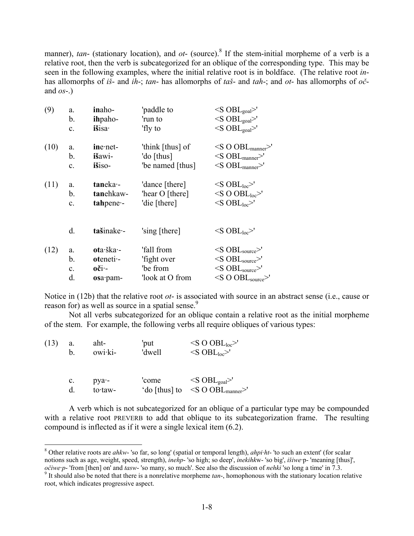manner),  $tan$ - (stationary location), and  $ot$ - (source).<sup>8</sup> If the stem-initial morpheme of a verb is a relative root, then the verb is subcategorized for an oblique of the corresponding type. This may be seen in the following examples, where the initial relative root is in boldface. (The relative root *in*has allomorphs of *iš*- and *ih*-; *tan*- has allomorphs of *taš*- and *tah*-; and *ot*- has allomorphs of *oč*and *os*-.)

| (9)  | a.<br>b.       | inaho-<br>ihpaho- | 'paddle to<br>'run to | $\langle$ S OBL <sub>goal</sub> $>$ '<br>$<$ S OBL <sub>goal</sub> $>$ ' |
|------|----------------|-------------------|-----------------------|--------------------------------------------------------------------------|
|      | c.             | <i>išisa</i>      | 'fly to               | $<$ S OBL <sub>goal</sub> $>$ '                                          |
| (10) | a.             | $ine$ net-        | 'think [thus] of      | $\langle$ S O OBL <sub>manner</sub> $>$ '                                |
|      | b.             | išawi-            | 'do [thus]            | $<$ S OBL <sub>manner</sub> $>$ '                                        |
|      | c.             | išiso-            | 'be named [thus]      | $<$ S OBL <sub>manner</sub> $>$ '                                        |
| (11) | a.             | taneka-           | 'dance [there]        | $\langle$ S OBL <sub>loc</sub> $>$ '                                     |
|      | b.             | tanehkaw-         | 'hear O [there]       | $\langle$ S O OBL <sub>loc</sub> $>$ '                                   |
|      | $\mathbf{c}$ . | tahpene-          | 'die [there]          | $\langle$ S OBL $_{loc}$ >'                                              |
|      | d.             | tašinake -        | 'sing [there]         | $\langle$ S OBL $_{loc}$ >'                                              |
| (12) | a.             | ota·ška·-         | 'fall from            | $<$ S OBL $_{source}$ >'                                                 |
|      | b.             | oteneti-          | 'fight over           | $\langle$ S OBL <sub>source</sub> $>$ '                                  |
|      | $\mathbf{c}$ . | $o$ či -          | 'be from              | $<$ S OBL $_{source}$ >'                                                 |
|      | d.             | osa·pam-          | look at O from        | $\leq$ SO OBL <sub>source</sub> $>$ '                                    |
|      |                |                   |                       |                                                                          |

Notice in (12b) that the relative root *ot*- is associated with source in an abstract sense (i.e., cause or reason for) as well as source in a spatial sense.<sup>9</sup>

Not all verbs subcategorized for an oblique contain a relative root as the initial morpheme of the stem. For example, the following verbs all require obliques of various types:

| (13) | aht-    | 'put   | $\langle$ S O OBL <sub>loc</sub> $>$ ' |
|------|---------|--------|----------------------------------------|
|      | owi·ki- | 'dwell | $\langle$ S OBL <sub>loc</sub> >'      |

| C. | $pya -$ | 'come | $\langle$ S OBL <sub>goal</sub> $>$ '           |
|----|---------|-------|-------------------------------------------------|
| d. | to taw- |       | 'do [thus] to $\leq$ O OBL <sub>manner</sub> >' |

A verb which is not subcategorized for an oblique of a particular type may be compounded with a relative root PREVERB to add that oblique to its subcategorization frame. The resulting compound is inflected as if it were a single lexical item (6.2).

 8 Other relative roots are *ahkw*- 'so far, so long' (spatial or temporal length), *ahpi·ht*- 'to such an extent' (for scalar notions such as age, weight, speed, strength), *inehp*- 'so high; so deep', *inekihk*w- 'so big', *išiwe*·p- 'meaning [thus]', *očiwe p*- 'from [then] on' and *tasw*- 'so many, so much'. See also the discussion of *nehki* 'so long a time' in  $\overline{7}$ .3.

<sup>&</sup>lt;sup>9</sup> It should also be noted that there is a nonrelative morpheme *tan*-, homophonous with the stationary location relative root, which indicates progressive aspect.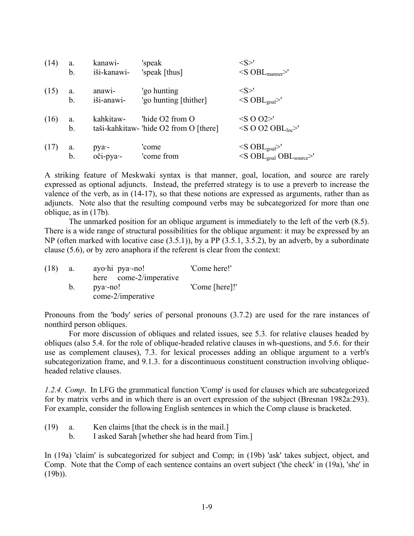| (14) | a.        | kanawi-            | 'speak                                                    | $<\!\!S\!\!>^{\prime}$                                                                                              |
|------|-----------|--------------------|-----------------------------------------------------------|---------------------------------------------------------------------------------------------------------------------|
|      | b.        | iši-kanawi-        | 'speak [thus]                                             | $\langle$ S OBL <sub>manner</sub> $>^{\prime}$                                                                      |
| (15) | a.        | anawi-             | 'go hunting                                               | $<\!\!S\!\!>'$                                                                                                      |
|      | b.        | iši-anawi-         | 'go hunting [thither]                                     | $\langle S \text{ OBL}_{goal} \rangle$                                                                              |
| (16) | a.<br>b.  | kahkitaw-          | 'hide O2 from O<br>taši-kahkitaw- 'hide O2 from O [there] | $<$ S O O2>'<br>$\langle$ SO O2 OBL <sub>loc</sub> >'                                                               |
| (17) | a.<br>$b$ | pya -<br>oči-pya - | 'come<br>'come from                                       | $\langle S \text{ OBL}_{\text{goal}} \rangle$<br>$\langle$ S OBL <sub>goal</sub> OBL <sub>source</sub> $>^{\prime}$ |

A striking feature of Meskwaki syntax is that manner, goal, location, and source are rarely expressed as optional adjuncts. Instead, the preferred strategy is to use a preverb to increase the valence of the verb, as in (14-17), so that these notions are expressed as arguments, rather than as adjuncts. Note also that the resulting compound verbs may be subcategorized for more than one oblique, as in (17b).

The unmarked position for an oblique argument is immediately to the left of the verb (8.5). There is a wide range of structural possibilities for the oblique argument: it may be expressed by an NP (often marked with locative case (3.5.1)), by a PP (3.5.1, 3.5.2), by an adverb, by a subordinate clause (5.6), or by zero anaphora if the referent is clear from the context:

| (18) | a. | ayo hi pya -no!        | 'Come here!'   |
|------|----|------------------------|----------------|
|      |    | here come-2/imperative |                |
|      |    | $pya$ -no!             | 'Come [here]!' |
|      |    | come-2/imperative      |                |

Pronouns from the 'body' series of personal pronouns (3.7.2) are used for the rare instances of nonthird person obliques.

For more discussion of obliques and related issues, see 5.3. for relative clauses headed by obliques (also 5.4. for the role of oblique-headed relative clauses in wh-questions, and 5.6. for their use as complement clauses), 7.3. for lexical processes adding an oblique argument to a verb's subcategorization frame, and 9.1.3. for a discontinuous constituent construction involving obliqueheaded relative clauses.

*1.2.4. Comp*. In LFG the grammatical function 'Comp' is used for clauses which are subcategorized for by matrix verbs and in which there is an overt expression of the subject (Bresnan 1982a:293). For example, consider the following English sentences in which the Comp clause is bracketed.

- (19) a. Ken claims [that the check is in the mail.]
	- b. I asked Sarah [whether she had heard from Tim.]

In (19a) 'claim' is subcategorized for subject and Comp; in (19b) 'ask' takes subject, object, and Comp. Note that the Comp of each sentence contains an overt subject ('the check' in (19a), 'she' in  $(19b)$ ).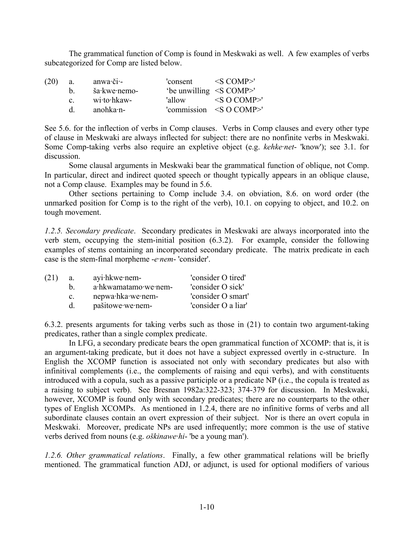The grammatical function of Comp is found in Meskwaki as well. A few examples of verbs subcategorized for Comp are listed below.

| (20) | a.           | $anwa$ ·či·- | $\text{Consent}$ $\leq$ COMP>' |                                                                  |
|------|--------------|--------------|--------------------------------|------------------------------------------------------------------|
|      | h.           | ša·kwe·nemo- | 'be unwilling <s comp="">'</s> |                                                                  |
|      | $\mathbf{c}$ | wi·to·hkaw-  |                                | $\text{valow} \qquad \text{<} S \text{ O } \text{COMP} \text{'}$ |
|      | d.           | anohka·n-    |                                | 'commission $\leq S$ O COMP>'                                    |

See 5.6. for the inflection of verbs in Comp clauses. Verbs in Comp clauses and every other type of clause in Meskwaki are always inflected for subject: there are no nonfinite verbs in Meskwaki. Some Comp-taking verbs also require an expletive object (e.g. *kehke·net*- 'know'); see 3.1. for discussion.

Some clausal arguments in Meskwaki bear the grammatical function of oblique, not Comp. In particular, direct and indirect quoted speech or thought typically appears in an oblique clause, not a Comp clause. Examples may be found in 5.6.

Other sections pertaining to Comp include 3.4. on obviation, 8.6. on word order (the unmarked position for Comp is to the right of the verb), 10.1. on copying to object, and 10.2. on tough movement.

*1.2.5. Secondary predicate*. Secondary predicates in Meskwaki are always incorporated into the verb stem, occupying the stem-initial position (6.3.2). For example, consider the following examples of stems containing an incorporated secondary predicate. The matrix predicate in each case is the stem-final morpheme -*e·nem*- 'consider'.

| (21) | a.             | $a$ yi $\cdot$ hkwe $\cdot$ nem- | 'consider O tired'  |
|------|----------------|----------------------------------|---------------------|
|      | h.             | a·hkwamatamo·we·nem-             | 'consider O sick'   |
|      | $\mathbf{c}$ . | nepwa·hka·we·nem-                | 'consider O smart'  |
|      |                | pašitowe we nem-                 | 'consider O a liar' |

6.3.2. presents arguments for taking verbs such as those in (21) to contain two argument-taking predicates, rather than a single complex predicate.

In LFG, a secondary predicate bears the open grammatical function of XCOMP: that is, it is an argument-taking predicate, but it does not have a subject expressed overtly in c-structure. In English the XCOMP function is associated not only with secondary predicates but also with infinitival complements (i.e., the complements of raising and equi verbs), and with constituents introduced with a copula, such as a passive participle or a predicate NP (i.e., the copula is treated as a raising to subject verb). See Bresnan 1982a:322-323; 374-379 for discussion. In Meskwaki, however, XCOMP is found only with secondary predicates; there are no counterparts to the other types of English XCOMPs. As mentioned in 1.2.4, there are no infinitive forms of verbs and all subordinate clauses contain an overt expression of their subject. Nor is there an overt copula in Meskwaki. Moreover, predicate NPs are used infrequently; more common is the use of stative verbs derived from nouns (e.g. *oškinawe·hi*- 'be a young man').

*1.2.6. Other grammatical relations*. Finally, a few other grammatical relations will be briefly mentioned. The grammatical function ADJ, or adjunct, is used for optional modifiers of various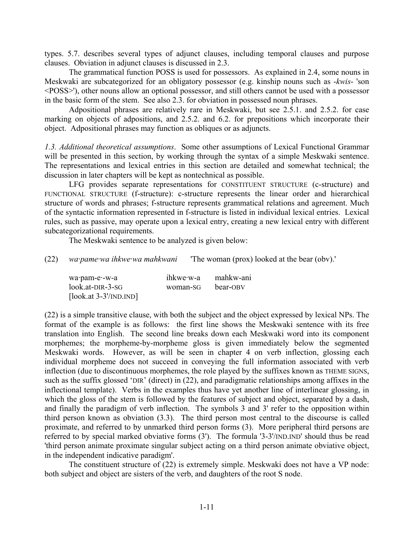types. 5.7. describes several types of adjunct clauses, including temporal clauses and purpose clauses. Obviation in adjunct clauses is discussed in 2.3.

The grammatical function POSS is used for possessors. As explained in 2.4, some nouns in Meskwaki are subcategorized for an obligatory possessor (e.g. kinship nouns such as -*kwis*- 'son <POSS>'), other nouns allow an optional possessor, and still others cannot be used with a possessor in the basic form of the stem. See also 2.3. for obviation in possessed noun phrases.

Adpositional phrases are relatively rare in Meskwaki, but see 2.5.1. and 2.5.2. for case marking on objects of adpositions, and 2.5.2. and 6.2. for prepositions which incorporate their object. Adpositional phrases may function as obliques or as adjuncts.

*1.3. Additional theoretical assumptions*. Some other assumptions of Lexical Functional Grammar will be presented in this section, by working through the syntax of a simple Meskwaki sentence. The representations and lexical entries in this section are detailed and somewhat technical; the discussion in later chapters will be kept as nontechnical as possible.

LFG provides separate representations for CONSTITUENT STRUCTURE (c-structure) and FUNCTIONAL STRUCTURE (f-structure): c-structure represents the linear order and hierarchical structure of words and phrases; f-structure represents grammatical relations and agreement. Much of the syntactic information represented in f-structure is listed in individual lexical entries. Lexical rules, such as passive, may operate upon a lexical entry, creating a new lexical entry with different subcategorizational requirements.

The Meskwaki sentence to be analyzed is given below:

(22) *wa·pame·wa ihkwe·wa mahkwani* 'The woman (prox) looked at the bear (obv).'

| wa·pam-e·-w-a           | ihkwe·w-a | mahkw-ani |
|-------------------------|-----------|-----------|
| $look.at-DIR-3-SG$      | woman-SG  | bear-OBV  |
| $[look.at 3-3'/IND.ID]$ |           |           |

(22) is a simple transitive clause, with both the subject and the object expressed by lexical NPs. The format of the example is as follows: the first line shows the Meskwaki sentence with its free translation into English. The second line breaks down each Meskwaki word into its component morphemes; the morpheme-by-morpheme gloss is given immediately below the segmented Meskwaki words. However, as will be seen in chapter 4 on verb inflection, glossing each individual morpheme does not succeed in conveying the full information associated with verb inflection (due to discontinuous morphemes, the role played by the suffixes known as THEME SIGNS, such as the suffix glossed 'DIR' (direct) in (22), and paradigmatic relationships among affixes in the inflectional template). Verbs in the examples thus have yet another line of interlinear glossing, in which the gloss of the stem is followed by the features of subject and object, separated by a dash, and finally the paradigm of verb inflection. The symbols 3 and 3' refer to the opposition within third person known as obviation (3.3). The third person most central to the discourse is called proximate, and referred to by unmarked third person forms (3). More peripheral third persons are referred to by special marked obviative forms (3'). The formula '3-3'/IND.IND' should thus be read 'third person animate proximate singular subject acting on a third person animate obviative object, in the independent indicative paradigm'.

The constituent structure of (22) is extremely simple. Meskwaki does not have a VP node: both subject and object are sisters of the verb, and daughters of the root S node.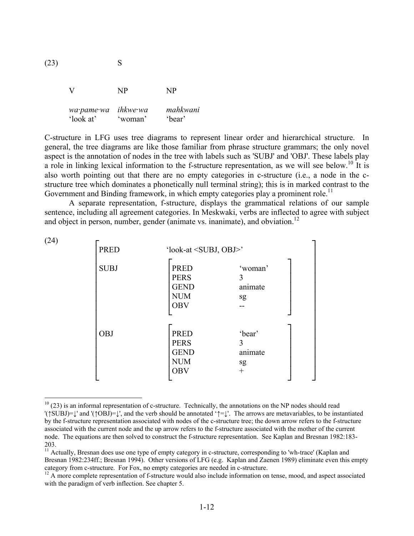| (23) |                         | S                   |                    |  |
|------|-------------------------|---------------------|--------------------|--|
|      |                         | NP                  | NP                 |  |
|      | wa·pame·wa<br>'look at' | ihkwe wa<br>'woman' | mahkwani<br>'bear' |  |

1

C-structure in LFG uses tree diagrams to represent linear order and hierarchical structure. In general, the tree diagrams are like those familiar from phrase structure grammars; the only novel aspect is the annotation of nodes in the tree with labels such as 'SUBJ' and 'OBJ'. These labels play a role in linking lexical information to the f-structure representation, as we will see below.<sup>10</sup> It is also worth pointing out that there are no empty categories in c-structure (i.e., a node in the cstructure tree which dominates a phonetically null terminal string); this is in marked contrast to the Government and Binding framework, in which empty categories play a prominent role.<sup>11</sup>

A separate representation, f-structure, displays the grammatical relations of our sample sentence, including all agreement categories. In Meskwaki, verbs are inflected to agree with subject and object in person, number, gender (animate vs. inanimate), and obviation.<sup>12</sup>

| (24) | <b>PRED</b> | 'look-at <subj, obj="">'</subj,>                        |                               |  |
|------|-------------|---------------------------------------------------------|-------------------------------|--|
|      |             |                                                         |                               |  |
|      | <b>SUBJ</b> | <b>PRED</b><br><b>PERS</b><br><b>GEND</b><br><b>NUM</b> | 'woman'<br>3<br>animate<br>sg |  |
|      |             | <b>OBV</b>                                              |                               |  |
|      |             |                                                         |                               |  |
|      | <b>OBJ</b>  | <b>PRED</b>                                             | 'bear'                        |  |
|      |             | <b>PERS</b>                                             | 3                             |  |
|      |             | <b>GEND</b>                                             | animate                       |  |
|      |             | <b>NUM</b>                                              | sg                            |  |
|      |             | <b>OBV</b>                                              | $^{+}$                        |  |
|      |             |                                                         |                               |  |

 $10$  (23) is an informal representation of c-structure. Technically, the annotations on the NP nodes should read '(↑SUBJ)=↓' and '(↑OBJ)=↓', and the verb should be annotated '↑=↓'. The arrows are metavariables, to be instantiated by the f-structure representation associated with nodes of the c-structure tree; the down arrow refers to the f-structure associated with the current node and the up arrow refers to the f-structure associated with the mother of the current node. The equations are then solved to construct the f-structure representation. See Kaplan and Bresnan 1982:183- 203.

<sup>&</sup>lt;sup>11</sup> Actually, Bresnan does use one type of empty category in c-structure, corresponding to 'wh-trace' (Kaplan and Bresnan 1982:234ff.; Bresnan 1994). Other versions of LFG (e.g. Kaplan and Zaenen 1989) eliminate even this empty category from c-structure. For Fox, no empty categories are needed in c-structure.

 $^{12}$  A more complete representation of f-structure would also include information on tense, mood, and aspect associated with the paradigm of verb inflection. See chapter 5.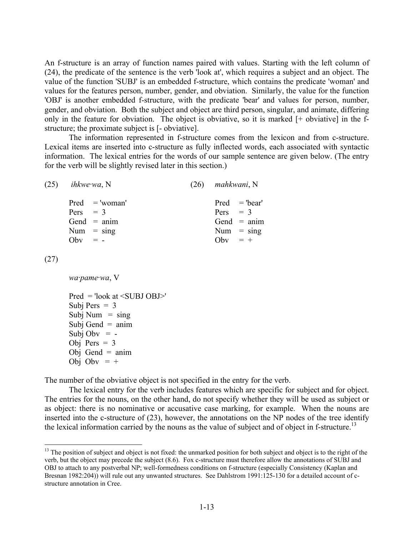An f-structure is an array of function names paired with values. Starting with the left column of (24), the predicate of the sentence is the verb 'look at', which requires a subject and an object. The value of the function 'SUBJ' is an embedded f-structure, which contains the predicate 'woman' and values for the features person, number, gender, and obviation. Similarly, the value for the function 'OBJ' is another embedded f-structure, with the predicate 'bear' and values for person, number, gender, and obviation. Both the subject and object are third person, singular, and animate, differing only in the feature for obviation. The object is obviative, so it is marked [+ obviative] in the fstructure; the proximate subject is [- obviative].

The information represented in f-structure comes from the lexicon and from c-structure. Lexical items are inserted into c-structure as fully inflected words, each associated with syntactic information. The lexical entries for the words of our sample sentence are given below. (The entry for the verb will be slightly revised later in this section.)

| $(25)$ <i>ihkwe wa</i> , N |                                                   | $(26)$ mahkwani, N      |                                                  |
|----------------------------|---------------------------------------------------|-------------------------|--------------------------------------------------|
| Pers $= 3$<br>$Obv = -$    | $Pred = 'woman'$<br>Gend $=$ anim<br>Num $=$ sing | $Pers = 3$<br>Obv $= +$ | $Pred = 'bear'$<br>Gend $=$ anim<br>Num $=$ sing |
|                            |                                                   |                         |                                                  |

(27)

1

*wa·pame·wa*, V

Pred = 'look at <SUBJ OBJ>' Subj Pers  $= 3$ Subj Num  $=$  sing Subj Gend  $=$  anim Subj Obv  $= -$ Obj Pers  $= 3$ Obj Gend  $=$  anim Obj Oby  $= +$ 

The number of the obviative object is not specified in the entry for the verb.

The lexical entry for the verb includes features which are specific for subject and for object. The entries for the nouns, on the other hand, do not specify whether they will be used as subject or as object: there is no nominative or accusative case marking, for example. When the nouns are inserted into the c-structure of (23), however, the annotations on the NP nodes of the tree identify the lexical information carried by the nouns as the value of subject and of object in f-structure.<sup>13</sup>

<sup>&</sup>lt;sup>13</sup> The position of subject and object is not fixed: the unmarked position for both subject and object is to the right of the verb, but the object may precede the subject (8.6). Fox c-structure must therefore allow the annotations of SUBJ and OBJ to attach to any postverbal NP; well-formedness conditions on f-structure (especially Consistency (Kaplan and Bresnan 1982:204)) will rule out any unwanted structures. See Dahlstrom 1991:125-130 for a detailed account of cstructure annotation in Cree.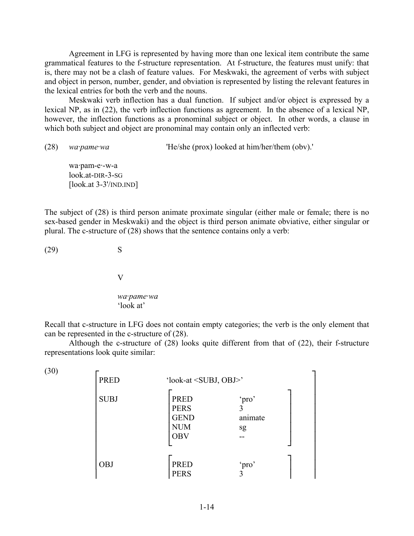Agreement in LFG is represented by having more than one lexical item contribute the same grammatical features to the f-structure representation. At f-structure, the features must unify: that is, there may not be a clash of feature values. For Meskwaki, the agreement of verbs with subject and object in person, number, gender, and obviation is represented by listing the relevant features in the lexical entries for both the verb and the nouns.

Meskwaki verb inflection has a dual function. If subject and/or object is expressed by a lexical NP, as in (22), the verb inflection functions as agreement. In the absence of a lexical NP, however, the inflection functions as a pronominal subject or object. In other words, a clause in which both subject and object are pronominal may contain only an inflected verb:

(28) *wa·pame·wa* 'He/she (prox) looked at him/her/them (obv).'

wa·pam-e·-w-a look.at-DIR-3-SG [look.at 3-3'/IND.IND]

The subject of (28) is third person animate proximate singular (either male or female; there is no sex-based gender in Meskwaki) and the object is third person animate obviative, either singular or plural. The c-structure of (28) shows that the sentence contains only a verb:

 $(29)$  S

V

*wa·pame·wa*  'look at'

Recall that c-structure in LFG does not contain empty categories; the verb is the only element that can be represented in the c-structure of (28).

Although the c-structure of (28) looks quite different from that of (22), their f-structure representations look quite similar:

 $(30)$   $\Gamma$ │PRED 'look-at <SUBJ, OBJ>' │ │ ┌ ┐ │ │SUBJ │PRED 'pro' │ │ │ │PERS 3 │ │ │ │GEND animate │ │  $\vert$  NUM sg  $\vert$  │ │OBV -- │ │ │ └ ┘ │ │ ┌ ┐ │ │OBJ │PRED 'pro' │ │ │ │ │ │PERS 3 │ │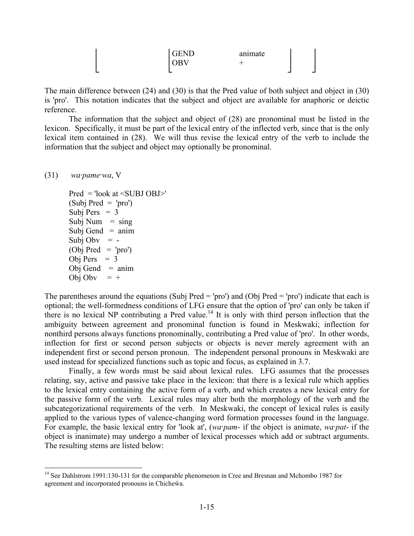|   | <b>GEND</b><br>JBV | $\bullet$<br>animate |
|---|--------------------|----------------------|
| _ | _                  | -<br>-               |

The main difference between (24) and (30) is that the Pred value of both subject and object in (30) is 'pro'. This notation indicates that the subject and object are available for anaphoric or deictic reference.

The information that the subject and object of (28) are pronominal must be listed in the lexicon. Specifically, it must be part of the lexical entry of the inflected verb, since that is the only lexical item contained in (28). We will thus revise the lexical entry of the verb to include the information that the subject and object may optionally be pronominal.

(31) *wa·pame·wa*, V

1

Pred = 'look at <SUBJ OBJ>'  $(Subj Pred = 'pro')$ Subj Pers  $= 3$ Subj Num  $=$  sing Subj Gend  $=$  anim Subj Obv  $= -$ (Obj Pred = 'pro') Obj Pers  $= 3$ Obj Gend  $=$  anim Obj Oby  $= +$ 

The parentheses around the equations (Subj Pred = 'pro') and (Obj Pred = 'pro') indicate that each is optional; the well-formedness conditions of LFG ensure that the option of 'pro' can only be taken if there is no lexical NP contributing a Pred value.<sup>14</sup> It is only with third person inflection that the ambiguity between agreement and pronominal function is found in Meskwaki; inflection for nonthird persons always functions pronominally, contributing a Pred value of 'pro'. In other words, inflection for first or second person subjects or objects is never merely agreement with an independent first or second person pronoun. The independent personal pronouns in Meskwaki are used instead for specialized functions such as topic and focus, as explained in 3.7.

Finally, a few words must be said about lexical rules. LFG assumes that the processes relating, say, active and passive take place in the lexicon: that there is a lexical rule which applies to the lexical entry containing the active form of a verb, and which creates a new lexical entry for the passive form of the verb. Lexical rules may alter both the morphology of the verb and the subcategorizational requirements of the verb. In Meskwaki, the concept of lexical rules is easily applied to the various types of valence-changing word formation processes found in the language. For example, the basic lexical entry for 'look at', (*wa·pam*- if the object is animate, *wa·pat*- if the object is inanimate) may undergo a number of lexical processes which add or subtract arguments. The resulting stems are listed below:

<sup>&</sup>lt;sup>14</sup> See Dahlstrom 1991:130-131 for the comparable phenomenon in Cree and Bresnan and Mchombo 1987 for agreement and incorporated pronouns in Chicheŵa.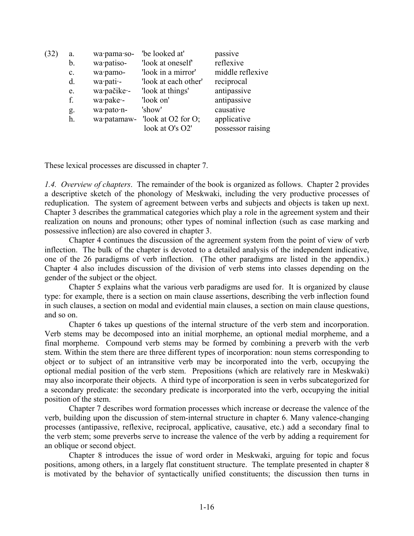| (32) | a.             | wa·pama·so- | 'be looked at'         | passive           |
|------|----------------|-------------|------------------------|-------------------|
|      | b.             | wa·patiso-  | 'look at oneself'      | reflexive         |
|      | $\mathbf{c}$ . | wa·pamo-    | 'look in a mirror'     | middle reflexive  |
|      | d.             | wa·pati·-   | 'look at each other'   | reciprocal        |
|      | e.             | wa·pačike·- | 'look at things'       | antipassive       |
|      | f.             | wa·pake·-   | 'look on'              | antipassive       |
|      | g.             | wa·pato·n-  | 'show'                 | causative         |
|      | h.             | wa·patamaw- | look at $O2$ for $O$ ; | applicative       |
|      |                |             | look at O's O2'        | possessor raising |
|      |                |             |                        |                   |

These lexical processes are discussed in chapter 7.

*1.4. Overview of chapters*. The remainder of the book is organized as follows. Chapter 2 provides a descriptive sketch of the phonology of Meskwaki, including the very productive processes of reduplication. The system of agreement between verbs and subjects and objects is taken up next. Chapter 3 describes the grammatical categories which play a role in the agreement system and their realization on nouns and pronouns; other types of nominal inflection (such as case marking and possessive inflection) are also covered in chapter 3.

Chapter 4 continues the discussion of the agreement system from the point of view of verb inflection. The bulk of the chapter is devoted to a detailed analysis of the independent indicative, one of the 26 paradigms of verb inflection. (The other paradigms are listed in the appendix.) Chapter 4 also includes discussion of the division of verb stems into classes depending on the gender of the subject or the object.

Chapter 5 explains what the various verb paradigms are used for. It is organized by clause type: for example, there is a section on main clause assertions, describing the verb inflection found in such clauses, a section on modal and evidential main clauses, a section on main clause questions, and so on.

Chapter 6 takes up questions of the internal structure of the verb stem and incorporation. Verb stems may be decomposed into an initial morpheme, an optional medial morpheme, and a final morpheme. Compound verb stems may be formed by combining a preverb with the verb stem. Within the stem there are three different types of incorporation: noun stems corresponding to object or to subject of an intransitive verb may be incorporated into the verb, occupying the optional medial position of the verb stem. Prepositions (which are relatively rare in Meskwaki) may also incorporate their objects. A third type of incorporation is seen in verbs subcategorized for a secondary predicate: the secondary predicate is incorporated into the verb, occupying the initial position of the stem.

Chapter 7 describes word formation processes which increase or decrease the valence of the verb, building upon the discussion of stem-internal structure in chapter 6. Many valence-changing processes (antipassive, reflexive, reciprocal, applicative, causative, etc.) add a secondary final to the verb stem; some preverbs serve to increase the valence of the verb by adding a requirement for an oblique or second object.

Chapter 8 introduces the issue of word order in Meskwaki, arguing for topic and focus positions, among others, in a largely flat constituent structure. The template presented in chapter 8 is motivated by the behavior of syntactically unified constituents; the discussion then turns in